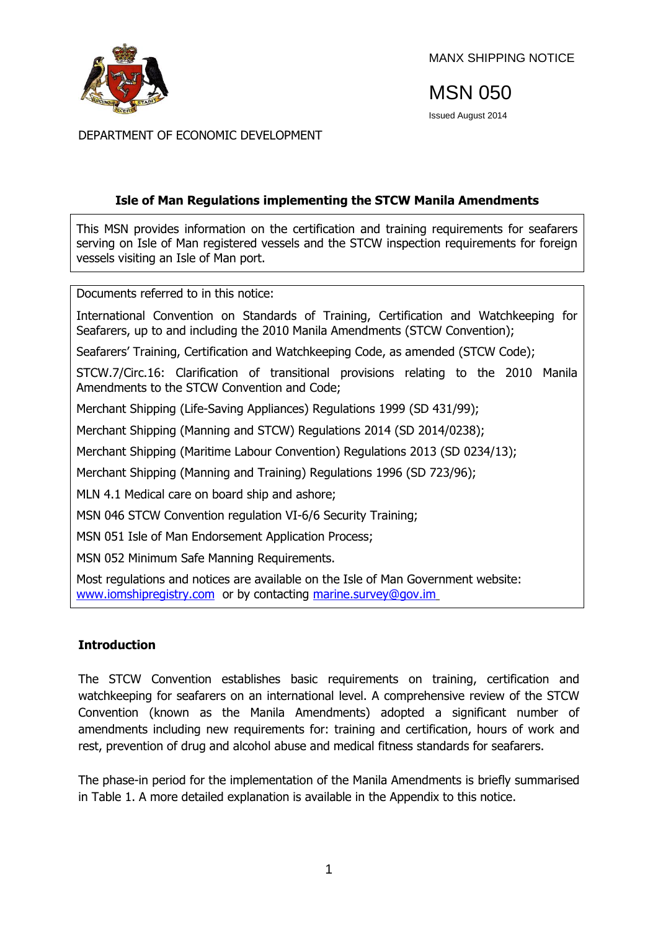

MANX SHIPPING NOTICE

MSN 050

Issued August 2014

DEPARTMENT OF ECONOMIC DEVELOPMENT

## **Isle of Man Regulations implementing the STCW Manila Amendments**

This MSN provides information on the certification and training requirements for seafarers serving on Isle of Man registered vessels and the STCW inspection requirements for foreign vessels visiting an Isle of Man port.

Documents referred to in this notice:

International Convention on Standards of Training, Certification and Watchkeeping for Seafarers, up to and including the 2010 Manila Amendments (STCW Convention);

Seafarers' Training, Certification and Watchkeeping Code, as amended (STCW Code);

STCW.7/Circ.16: Clarification of transitional provisions relating to the 2010 Manila Amendments to the STCW Convention and Code;

Merchant Shipping (Life-Saving Appliances) Regulations 1999 (SD 431/99);

Merchant Shipping (Manning and STCW) Regulations 2014 (SD 2014/0238);

Merchant Shipping (Maritime Labour Convention) Regulations 2013 (SD 0234/13);

Merchant Shipping (Manning and Training) Regulations 1996 (SD 723/96);

MLN 4.1 Medical care on board ship and ashore;

MSN 046 STCW Convention regulation VI-6/6 Security Training;

MSN 051 Isle of Man Endorsement Application Process;

MSN 052 Minimum Safe Manning Requirements.

Most regulations and notices are available on the Isle of Man Government website: [www.iomshipregistry.com](http://www.gov.im/dti/shipping) or by contacting [marine.survey@gov.im](mailto:marine.survey@gov.im)

## **Introduction**

The STCW Convention establishes basic requirements on training, certification and watchkeeping for seafarers on an international level. A comprehensive review of the STCW Convention (known as the Manila Amendments) adopted a significant number of amendments including new requirements for: training and certification, hours of work and rest, prevention of drug and alcohol abuse and medical fitness standards for seafarers.

The phase-in period for the implementation of the Manila Amendments is briefly summarised in Table 1. A more detailed explanation is available in the Appendix to this notice.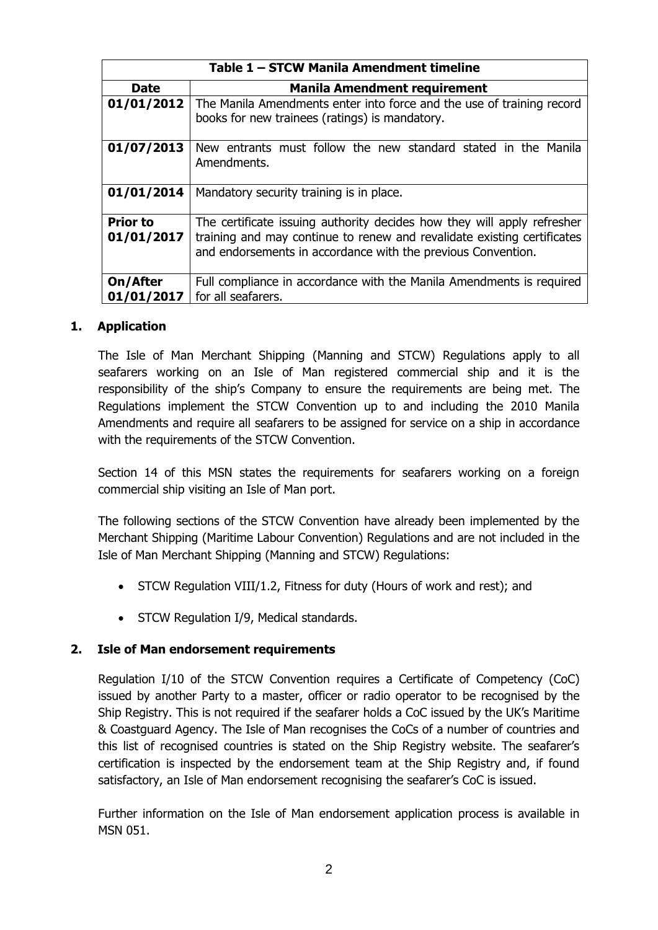| Table 1 - STCW Manila Amendment timeline |                                                                                                                                                                                                                    |  |
|------------------------------------------|--------------------------------------------------------------------------------------------------------------------------------------------------------------------------------------------------------------------|--|
| <b>Date</b>                              | <b>Manila Amendment requirement</b>                                                                                                                                                                                |  |
| 01/01/2012                               | The Manila Amendments enter into force and the use of training record<br>books for new trainees (ratings) is mandatory.                                                                                            |  |
| 01/07/2013                               | New entrants must follow the new standard stated in the Manila<br>Amendments.                                                                                                                                      |  |
| 01/01/2014                               | Mandatory security training is in place.                                                                                                                                                                           |  |
| <b>Prior to</b><br>01/01/2017            | The certificate issuing authority decides how they will apply refresher<br>training and may continue to renew and revalidate existing certificates<br>and endorsements in accordance with the previous Convention. |  |
| On/After<br>01/01/2017                   | Full compliance in accordance with the Manila Amendments is required<br>for all seafarers.                                                                                                                         |  |

## **1. Application**

The Isle of Man Merchant Shipping (Manning and STCW) Regulations apply to all seafarers working on an Isle of Man registered commercial ship and it is the responsibility of the ship's Company to ensure the requirements are being met. The Regulations implement the STCW Convention up to and including the 2010 Manila Amendments and require all seafarers to be assigned for service on a ship in accordance with the requirements of the STCW Convention.

Section 14 of this MSN states the requirements for seafarers working on a foreign commercial ship visiting an Isle of Man port.

The following sections of the STCW Convention have already been implemented by the Merchant Shipping (Maritime Labour Convention) Regulations and are not included in the Isle of Man Merchant Shipping (Manning and STCW) Regulations:

- STCW Regulation VIII/1.2, Fitness for duty (Hours of work and rest); and
- STCW Regulation I/9, Medical standards.

## **2. Isle of Man endorsement requirements**

Regulation I/10 of the STCW Convention requires a Certificate of Competency (CoC) issued by another Party to a master, officer or radio operator to be recognised by the Ship Registry. This is not required if the seafarer holds a CoC issued by the UK's Maritime & Coastguard Agency. The Isle of Man recognises the CoCs of a number of countries and this list of recognised countries is stated on the Ship Registry website. The seafarer's certification is inspected by the endorsement team at the Ship Registry and, if found satisfactory, an Isle of Man endorsement recognising the seafarer's CoC is issued.

Further information on the Isle of Man endorsement application process is available in MSN 051.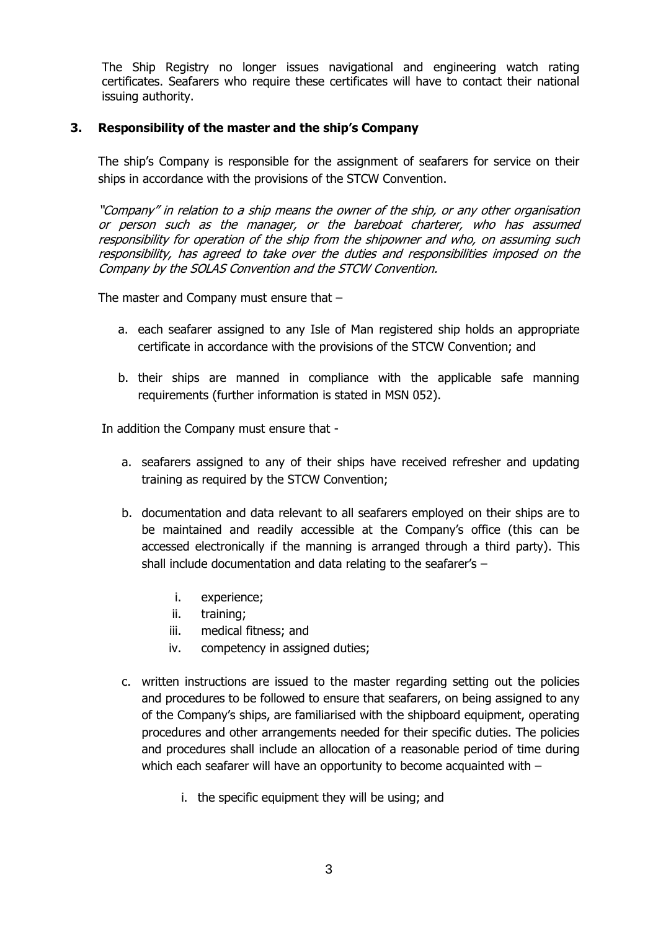The Ship Registry no longer issues navigational and engineering watch rating certificates. Seafarers who require these certificates will have to contact their national issuing authority.

### **3. Responsibility of the master and the ship's Company**

The ship's Company is responsible for the assignment of seafarers for service on their ships in accordance with the provisions of the STCW Convention.

"Company" in relation to a ship means the owner of the ship, or any other organisation or person such as the manager, or the bareboat charterer, who has assumed responsibility for operation of the ship from the shipowner and who, on assuming such responsibility, has agreed to take over the duties and responsibilities imposed on the Company by the SOLAS Convention and the STCW Convention.

The master and Company must ensure that –

- a. each seafarer assigned to any Isle of Man registered ship holds an appropriate certificate in accordance with the provisions of the STCW Convention; and
- b. their ships are manned in compliance with the applicable safe manning requirements (further information is stated in MSN 052).

In addition the Company must ensure that -

- a. seafarers assigned to any of their ships have received refresher and updating training as required by the STCW Convention;
- b. documentation and data relevant to all seafarers employed on their ships are to be maintained and readily accessible at the Company's office (this can be accessed electronically if the manning is arranged through a third party). This shall include documentation and data relating to the seafarer's –
	- i. experience;
	- ii. training;
	- iii. medical fitness; and
	- iv. competency in assigned duties;
- c. written instructions are issued to the master regarding setting out the policies and procedures to be followed to ensure that seafarers, on being assigned to any of the Company's ships, are familiarised with the shipboard equipment, operating procedures and other arrangements needed for their specific duties. The policies and procedures shall include an allocation of a reasonable period of time during which each seafarer will have an opportunity to become acquainted with
	- i. the specific equipment they will be using; and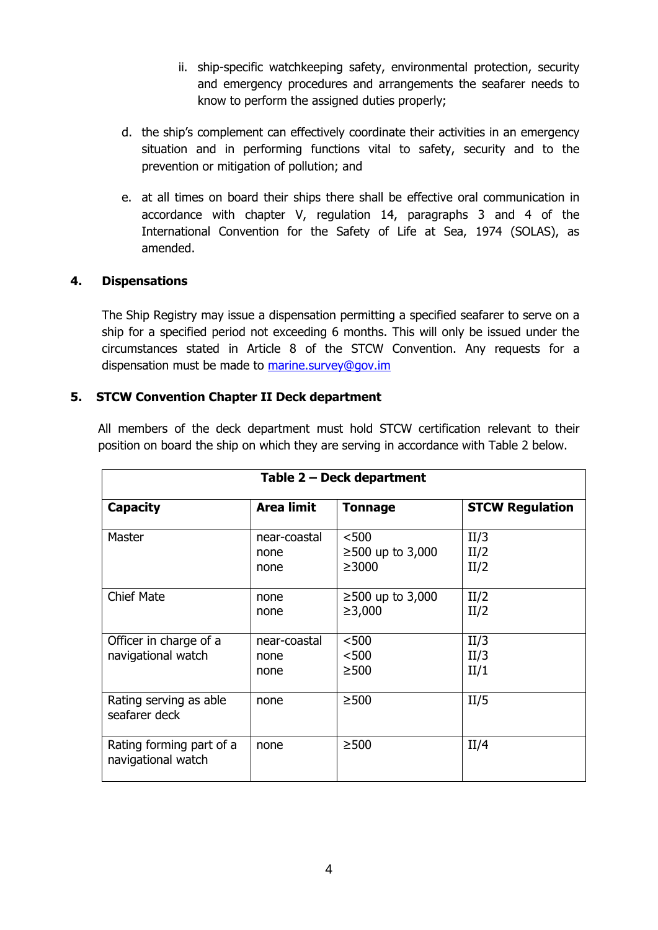- ii. ship-specific watchkeeping safety, environmental protection, security and emergency procedures and arrangements the seafarer needs to know to perform the assigned duties properly;
- d. the ship's complement can effectively coordinate their activities in an emergency situation and in performing functions vital to safety, security and to the prevention or mitigation of pollution; and
- e. at all times on board their ships there shall be effective oral communication in accordance with chapter V, regulation 14, paragraphs 3 and 4 of the International Convention for the Safety of Life at Sea, 1974 (SOLAS), as amended.

# **4. Dispensations**

The Ship Registry may issue a dispensation permitting a specified seafarer to serve on a ship for a specified period not exceeding 6 months. This will only be issued under the circumstances stated in Article 8 of the STCW Convention. Any requests for a dispensation must be made to [marine.survey@gov.im](mailto:marine.survey@gov.im)

## **5. STCW Convention Chapter II Deck department**

All members of the deck department must hold STCW certification relevant to their position on board the ship on which they are serving in accordance with Table 2 below.

| Table 2 - Deck department                      |                              |                                        |                        |  |  |
|------------------------------------------------|------------------------------|----------------------------------------|------------------------|--|--|
| <b>Capacity</b>                                | Area limit                   | <b>Tonnage</b>                         | <b>STCW Regulation</b> |  |  |
| Master                                         | near-coastal<br>none<br>none | $<$ 500<br>$≥500$ up to 3,000<br>>3000 | II/3<br>II/2<br>II/2   |  |  |
| <b>Chief Mate</b>                              | none<br>none                 | $≥500$ up to 3,000<br>≥3,000           | II/2<br>II/2           |  |  |
| Officer in charge of a<br>navigational watch   | near-coastal<br>none<br>none | < 500<br>< 500<br>> 500                | II/3<br>II/3<br>II/1   |  |  |
| Rating serving as able<br>seafarer deck        | none                         | $\geq$ 500                             | II/5                   |  |  |
| Rating forming part of a<br>navigational watch | none                         | $\geq$ 500                             | II/4                   |  |  |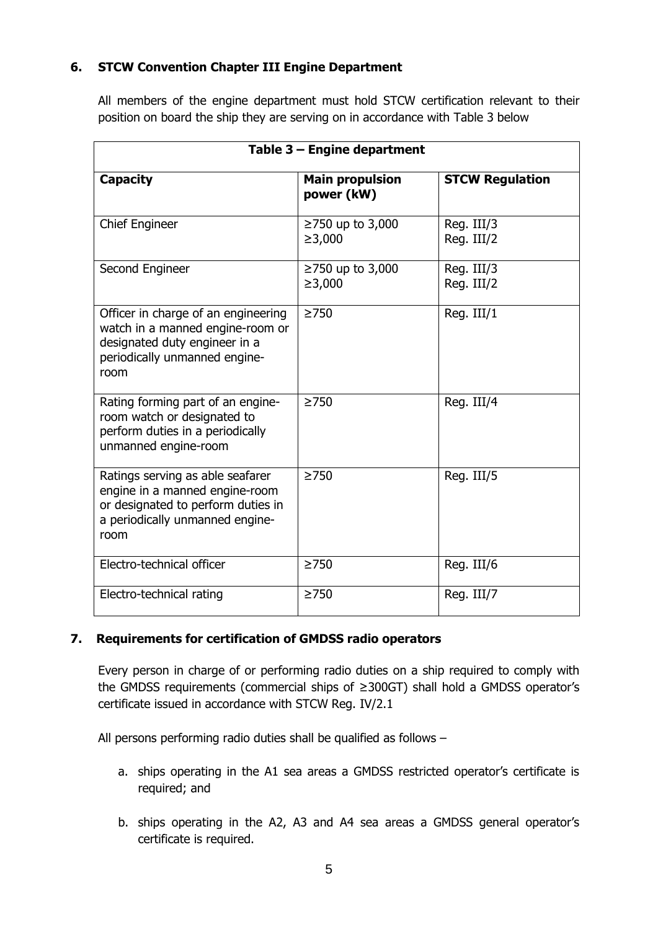# **6. STCW Convention Chapter III Engine Department**

All members of the engine department must hold STCW certification relevant to their position on board the ship they are serving on in accordance with Table 3 below

| Table 3 - Engine department                                                                                                                         |                                      |                          |  |  |
|-----------------------------------------------------------------------------------------------------------------------------------------------------|--------------------------------------|--------------------------|--|--|
| <b>Capacity</b>                                                                                                                                     | <b>Main propulsion</b><br>power (kW) | <b>STCW Regulation</b>   |  |  |
| <b>Chief Engineer</b>                                                                                                                               | ≥750 up to 3,000<br>≥3,000           | Reg. III/3<br>Reg. III/2 |  |  |
| Second Engineer                                                                                                                                     | ≥750 up to 3,000<br>≥3,000           | Reg. III/3<br>Reg. III/2 |  |  |
| Officer in charge of an engineering<br>watch in a manned engine-room or<br>designated duty engineer in a<br>periodically unmanned engine-<br>room   | $\geq$ 750                           | Reg. III/1               |  |  |
| Rating forming part of an engine-<br>room watch or designated to<br>perform duties in a periodically<br>unmanned engine-room                        | $\geq$ 750                           | Reg. III/4               |  |  |
| Ratings serving as able seafarer<br>engine in a manned engine-room<br>or designated to perform duties in<br>a periodically unmanned engine-<br>room | $\geq$ 750                           | Reg. III/5               |  |  |
| Electro-technical officer                                                                                                                           | $\geq$ 750                           | Reg. III/6               |  |  |
| Electro-technical rating                                                                                                                            | $\geq$ 750                           | Reg. III/7               |  |  |

## **7. Requirements for certification of GMDSS radio operators**

Every person in charge of or performing radio duties on a ship required to comply with the GMDSS requirements (commercial ships of ≥300GT) shall hold a GMDSS operator's certificate issued in accordance with STCW Reg. IV/2.1

All persons performing radio duties shall be qualified as follows –

- a. ships operating in the A1 sea areas a GMDSS restricted operator's certificate is required; and
- b. ships operating in the A2, A3 and A4 sea areas a GMDSS general operator's certificate is required.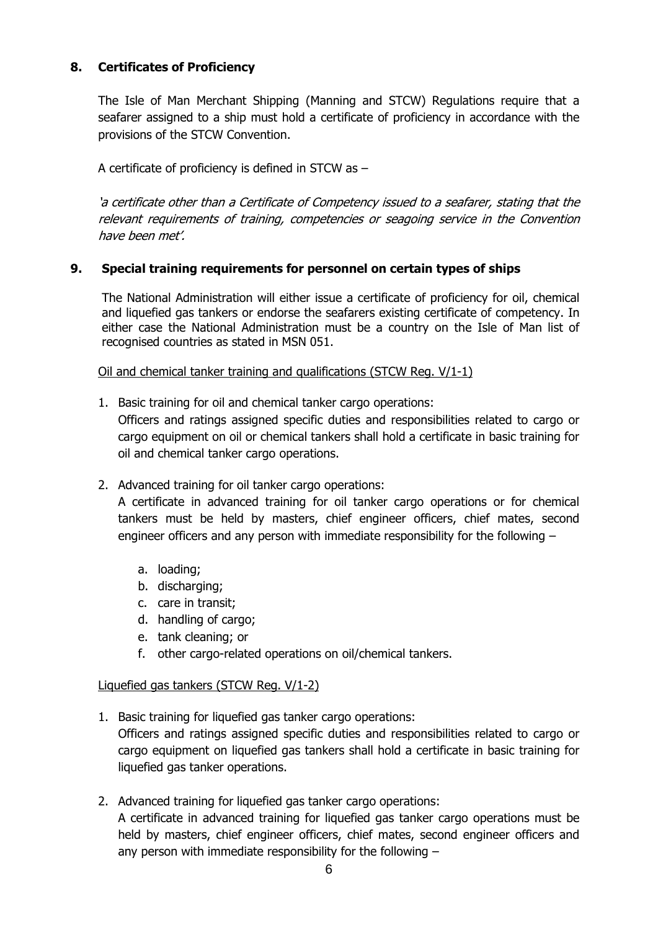# **8. Certificates of Proficiency**

The Isle of Man Merchant Shipping (Manning and STCW) Regulations require that a seafarer assigned to a ship must hold a certificate of proficiency in accordance with the provisions of the STCW Convention.

A certificate of proficiency is defined in STCW as –

'a certificate other than a Certificate of Competency issued to a seafarer, stating that the relevant requirements of training, competencies or seagoing service in the Convention have been met'.

## **9. Special training requirements for personnel on certain types of ships**

The National Administration will either issue a certificate of proficiency for oil, chemical and liquefied gas tankers or endorse the seafarers existing certificate of competency. In either case the National Administration must be a country on the Isle of Man list of recognised countries as stated in MSN 051.

Oil and chemical tanker training and qualifications (STCW Reg. V/1-1)

- 1. Basic training for oil and chemical tanker cargo operations: Officers and ratings assigned specific duties and responsibilities related to cargo or cargo equipment on oil or chemical tankers shall hold a certificate in basic training for oil and chemical tanker cargo operations.
- 2. Advanced training for oil tanker cargo operations:

A certificate in advanced training for oil tanker cargo operations or for chemical tankers must be held by masters, chief engineer officers, chief mates, second engineer officers and any person with immediate responsibility for the following –

- a. loading;
- b. discharging;
- c. care in transit;
- d. handling of cargo;
- e. tank cleaning; or
- f. other cargo-related operations on oil/chemical tankers.

## Liquefied gas tankers (STCW Reg. V/1-2)

- 1. Basic training for liquefied gas tanker cargo operations: Officers and ratings assigned specific duties and responsibilities related to cargo or cargo equipment on liquefied gas tankers shall hold a certificate in basic training for liquefied gas tanker operations.
- 2. Advanced training for liquefied gas tanker cargo operations: A certificate in advanced training for liquefied gas tanker cargo operations must be held by masters, chief engineer officers, chief mates, second engineer officers and any person with immediate responsibility for the following –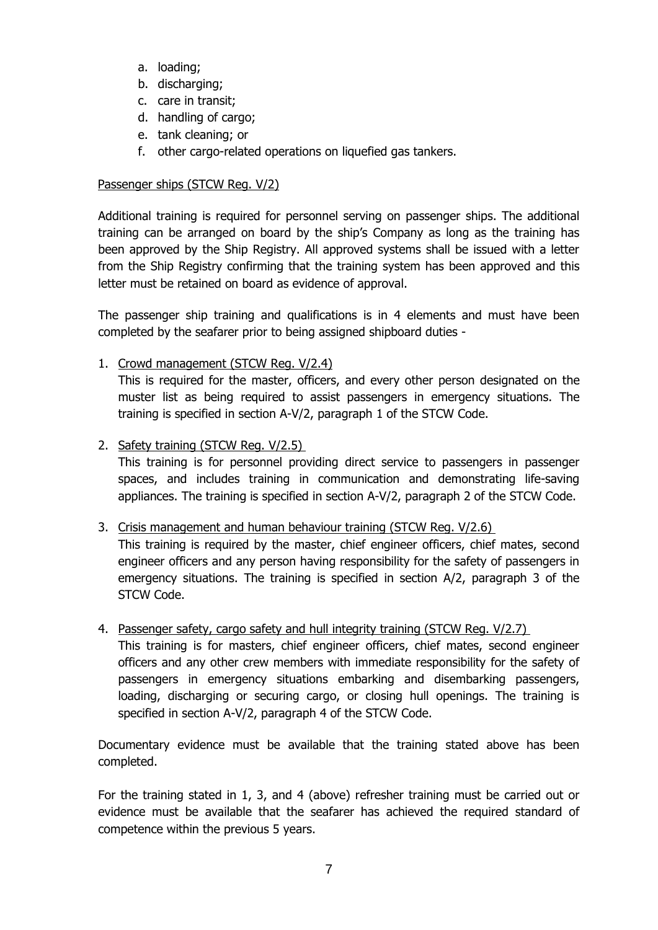- a. loading;
- b. discharging;
- c. care in transit;
- d. handling of cargo;
- e. tank cleaning; or
- f. other cargo-related operations on liquefied gas tankers.

## Passenger ships (STCW Reg. V/2)

Additional training is required for personnel serving on passenger ships. The additional training can be arranged on board by the ship's Company as long as the training has been approved by the Ship Registry. All approved systems shall be issued with a letter from the Ship Registry confirming that the training system has been approved and this letter must be retained on board as evidence of approval.

The passenger ship training and qualifications is in 4 elements and must have been completed by the seafarer prior to being assigned shipboard duties -

1. Crowd management (STCW Reg. V/2.4)

This is required for the master, officers, and every other person designated on the muster list as being required to assist passengers in emergency situations. The training is specified in section A-V/2, paragraph 1 of the STCW Code.

## 2. Safety training (STCW Reg. V/2.5)

This training is for personnel providing direct service to passengers in passenger spaces, and includes training in communication and demonstrating life-saving appliances. The training is specified in section A-V/2, paragraph 2 of the STCW Code.

## 3. Crisis management and human behaviour training (STCW Reg. V/2.6)

This training is required by the master, chief engineer officers, chief mates, second engineer officers and any person having responsibility for the safety of passengers in emergency situations. The training is specified in section A/2, paragraph 3 of the STCW Code.

## 4. Passenger safety, cargo safety and hull integrity training (STCW Reg. V/2.7)

This training is for masters, chief engineer officers, chief mates, second engineer officers and any other crew members with immediate responsibility for the safety of passengers in emergency situations embarking and disembarking passengers, loading, discharging or securing cargo, or closing hull openings. The training is specified in section A-V/2, paragraph 4 of the STCW Code.

Documentary evidence must be available that the training stated above has been completed.

For the training stated in 1, 3, and 4 (above) refresher training must be carried out or evidence must be available that the seafarer has achieved the required standard of competence within the previous 5 years.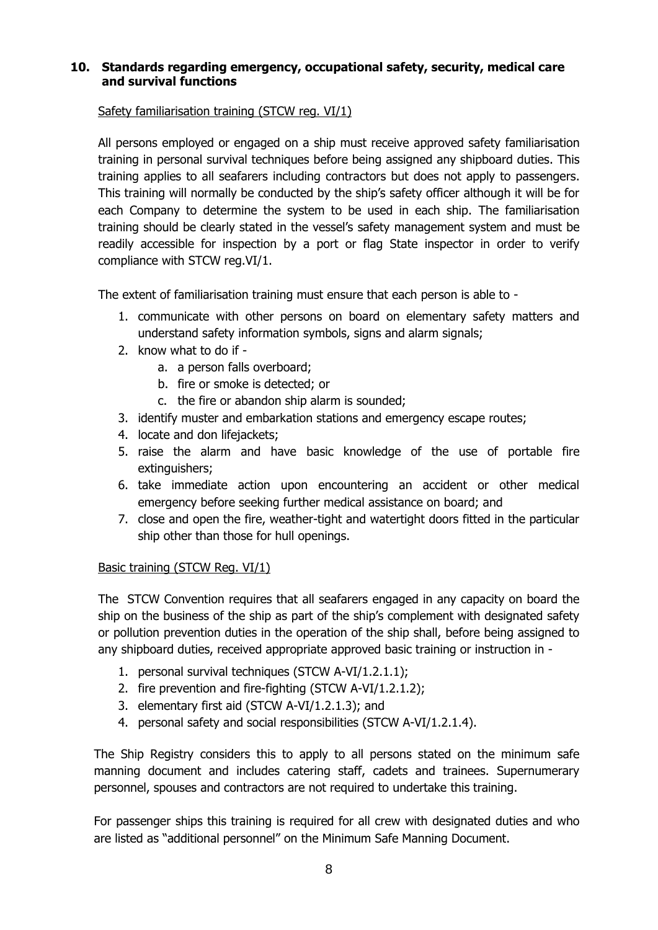## **10. Standards regarding emergency, occupational safety, security, medical care and survival functions**

## Safety familiarisation training (STCW reg. VI/1)

All persons employed or engaged on a ship must receive approved safety familiarisation training in personal survival techniques before being assigned any shipboard duties. This training applies to all seafarers including contractors but does not apply to passengers. This training will normally be conducted by the ship's safety officer although it will be for each Company to determine the system to be used in each ship. The familiarisation training should be clearly stated in the vessel's safety management system and must be readily accessible for inspection by a port or flag State inspector in order to verify compliance with STCW reg.VI/1.

The extent of familiarisation training must ensure that each person is able to -

- 1. communicate with other persons on board on elementary safety matters and understand safety information symbols, signs and alarm signals;
- 2. know what to do if
	- a. a person falls overboard;
	- b. fire or smoke is detected; or
	- c. the fire or abandon ship alarm is sounded;
- 3. identify muster and embarkation stations and emergency escape routes;
- 4. locate and don lifejackets;
- 5. raise the alarm and have basic knowledge of the use of portable fire extinguishers;
- 6. take immediate action upon encountering an accident or other medical emergency before seeking further medical assistance on board; and
- 7. close and open the fire, weather-tight and watertight doors fitted in the particular ship other than those for hull openings.

## Basic training (STCW Reg. VI/1)

The STCW Convention requires that all seafarers engaged in any capacity on board the ship on the business of the ship as part of the ship's complement with designated safety or pollution prevention duties in the operation of the ship shall, before being assigned to any shipboard duties, received appropriate approved basic training or instruction in -

- 1. personal survival techniques (STCW A-VI/1.2.1.1);
- 2. fire prevention and fire-fighting (STCW A-VI/1.2.1.2);
- 3. elementary first aid (STCW A-VI/1.2.1.3); and
- 4. personal safety and social responsibilities (STCW A-VI/1.2.1.4).

The Ship Registry considers this to apply to all persons stated on the minimum safe manning document and includes catering staff, cadets and trainees. Supernumerary personnel, spouses and contractors are not required to undertake this training.

For passenger ships this training is required for all crew with designated duties and who are listed as "additional personnel" on the Minimum Safe Manning Document.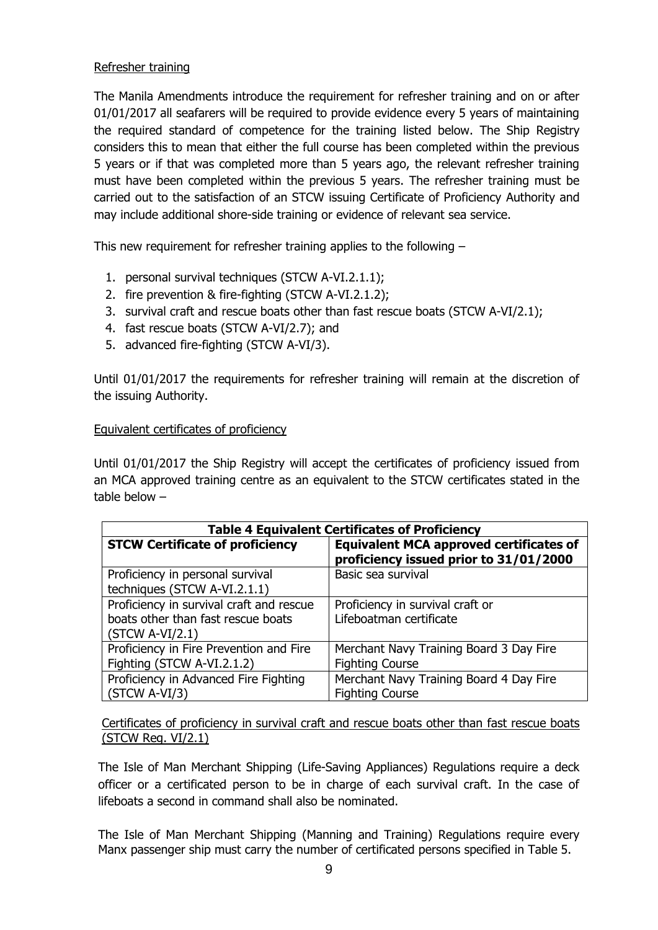## Refresher training

The Manila Amendments introduce the requirement for refresher training and on or after 01/01/2017 all seafarers will be required to provide evidence every 5 years of maintaining the required standard of competence for the training listed below. The Ship Registry considers this to mean that either the full course has been completed within the previous 5 years or if that was completed more than 5 years ago, the relevant refresher training must have been completed within the previous 5 years. The refresher training must be carried out to the satisfaction of an STCW issuing Certificate of Proficiency Authority and may include additional shore-side training or evidence of relevant sea service.

This new requirement for refresher training applies to the following –

- 1. personal survival techniques (STCW A-VI.2.1.1);
- 2. fire prevention & fire-fighting (STCW A-VI.2.1.2);
- 3. survival craft and rescue boats other than fast rescue boats (STCW A-VI/2.1);
- 4. fast rescue boats (STCW A-VI/2.7); and
- 5. advanced fire-fighting (STCW A-VI/3).

Until 01/01/2017 the requirements for refresher training will remain at the discretion of the issuing Authority.

#### Equivalent certificates of proficiency

Until 01/01/2017 the Ship Registry will accept the certificates of proficiency issued from an MCA approved training centre as an equivalent to the STCW certificates stated in the table below –

| <b>Table 4 Equivalent Certificates of Proficiency</b>                                               |                                                                                          |  |  |
|-----------------------------------------------------------------------------------------------------|------------------------------------------------------------------------------------------|--|--|
| <b>STCW Certificate of proficiency</b>                                                              | <b>Equivalent MCA approved certificates of</b><br>proficiency issued prior to 31/01/2000 |  |  |
| Proficiency in personal survival<br>techniques (STCW A-VI.2.1.1)                                    | Basic sea survival                                                                       |  |  |
| Proficiency in survival craft and rescue<br>boats other than fast rescue boats<br>$(STCW A-VI/2.1)$ | Proficiency in survival craft or<br>Lifeboatman certificate                              |  |  |
| Proficiency in Fire Prevention and Fire<br>Fighting (STCW A-VI.2.1.2)                               | Merchant Navy Training Board 3 Day Fire<br><b>Fighting Course</b>                        |  |  |
| Proficiency in Advanced Fire Fighting<br>$(STCW A-VI/3)$                                            | Merchant Navy Training Board 4 Day Fire<br><b>Fighting Course</b>                        |  |  |

Certificates of proficiency in survival craft and rescue boats other than fast rescue boats (STCW Reg. VI/2.1)

The Isle of Man Merchant Shipping (Life-Saving Appliances) Regulations require a deck officer or a certificated person to be in charge of each survival craft. In the case of lifeboats a second in command shall also be nominated.

The Isle of Man Merchant Shipping (Manning and Training) Regulations require every Manx passenger ship must carry the number of certificated persons specified in Table 5.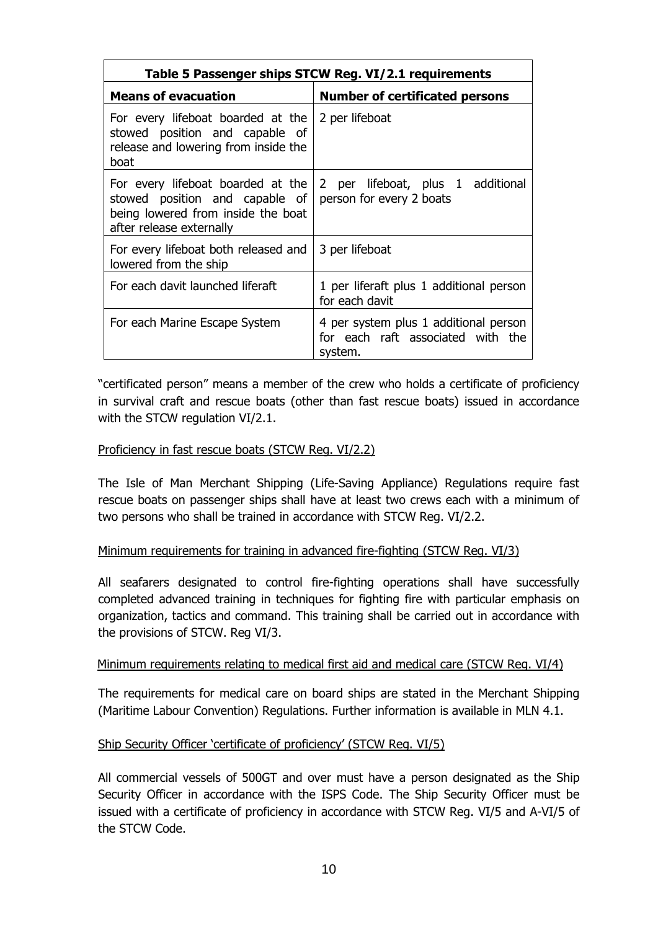| Table 5 Passenger ships STCW Reg. VI/2.1 requirements                                                                                 |                                                                                       |  |  |
|---------------------------------------------------------------------------------------------------------------------------------------|---------------------------------------------------------------------------------------|--|--|
| <b>Means of evacuation</b>                                                                                                            | <b>Number of certificated persons</b>                                                 |  |  |
| For every lifeboat boarded at the<br>stowed position and capable of<br>release and lowering from inside the<br>boat                   | 2 per lifeboat                                                                        |  |  |
| For every lifeboat boarded at the<br>stowed position and capable of<br>being lowered from inside the boat<br>after release externally | 2 per lifeboat, plus 1 additional<br>person for every 2 boats                         |  |  |
| For every lifeboat both released and<br>lowered from the ship                                                                         | 3 per lifeboat                                                                        |  |  |
| For each davit launched liferaft                                                                                                      | 1 per liferaft plus 1 additional person<br>for each davit                             |  |  |
| For each Marine Escape System                                                                                                         | 4 per system plus 1 additional person<br>for each raft associated with the<br>system. |  |  |

"certificated person" means a member of the crew who holds a certificate of proficiency in survival craft and rescue boats (other than fast rescue boats) issued in accordance with the STCW regulation VI/2.1.

## Proficiency in fast rescue boats (STCW Reg. VI/2.2)

The Isle of Man Merchant Shipping (Life-Saving Appliance) Regulations require fast rescue boats on passenger ships shall have at least two crews each with a minimum of two persons who shall be trained in accordance with STCW Reg. VI/2.2.

## Minimum requirements for training in advanced fire-fighting (STCW Reg. VI/3)

All seafarers designated to control fire-fighting operations shall have successfully completed advanced training in techniques for fighting fire with particular emphasis on organization, tactics and command. This training shall be carried out in accordance with the provisions of STCW. Reg VI/3.

#### Minimum requirements relating to medical first aid and medical care (STCW Reg. VI/4)

The requirements for medical care on board ships are stated in the Merchant Shipping (Maritime Labour Convention) Regulations. Further information is available in MLN 4.1.

#### Ship Security Officer 'certificate of proficiency' (STCW Reg. VI/5)

All commercial vessels of 500GT and over must have a person designated as the Ship Security Officer in accordance with the ISPS Code. The Ship Security Officer must be issued with a certificate of proficiency in accordance with STCW Reg. VI/5 and A-VI/5 of the STCW Code.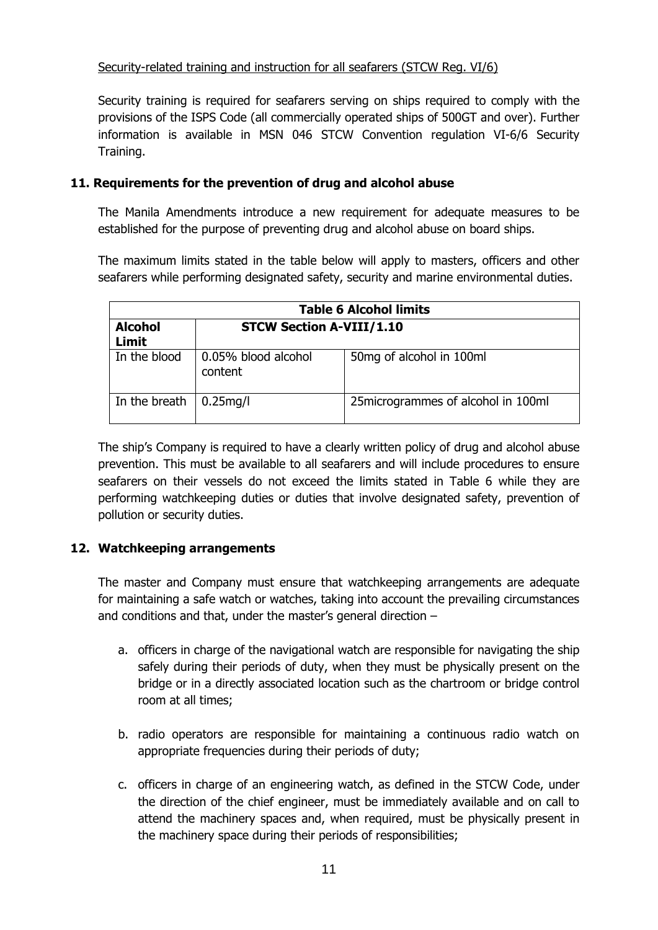# Security-related training and instruction for all seafarers (STCW Reg. VI/6)

Security training is required for seafarers serving on ships required to comply with the provisions of the ISPS Code (all commercially operated ships of 500GT and over). Further information is available in MSN 046 STCW Convention regulation VI-6/6 Security Training.

## **11. Requirements for the prevention of drug and alcohol abuse**

The Manila Amendments introduce a new requirement for adequate measures to be established for the purpose of preventing drug and alcohol abuse on board ships.

The maximum limits stated in the table below will apply to masters, officers and other seafarers while performing designated safety, security and marine environmental duties.

| <b>Table 6 Alcohol limits</b>  |                                 |                                      |  |  |
|--------------------------------|---------------------------------|--------------------------------------|--|--|
| <b>Alcohol</b><br><b>Limit</b> | <b>STCW Section A-VIII/1.10</b> |                                      |  |  |
| In the blood                   | 0.05% blood alcohol<br>content  | 50mg of alcohol in 100ml             |  |  |
| In the breath                  | $0.25$ mg/l                     | 25 microgrammes of alcohol in 100 ml |  |  |

The ship's Company is required to have a clearly written policy of drug and alcohol abuse prevention. This must be available to all seafarers and will include procedures to ensure seafarers on their vessels do not exceed the limits stated in Table 6 while they are performing watchkeeping duties or duties that involve designated safety, prevention of pollution or security duties.

# **12. Watchkeeping arrangements**

The master and Company must ensure that watchkeeping arrangements are adequate for maintaining a safe watch or watches, taking into account the prevailing circumstances and conditions and that, under the master's general direction –

- a. officers in charge of the navigational watch are responsible for navigating the ship safely during their periods of duty, when they must be physically present on the bridge or in a directly associated location such as the chartroom or bridge control room at all times;
- b. radio operators are responsible for maintaining a continuous radio watch on appropriate frequencies during their periods of duty;
- c. officers in charge of an engineering watch, as defined in the STCW Code, under the direction of the chief engineer, must be immediately available and on call to attend the machinery spaces and, when required, must be physically present in the machinery space during their periods of responsibilities;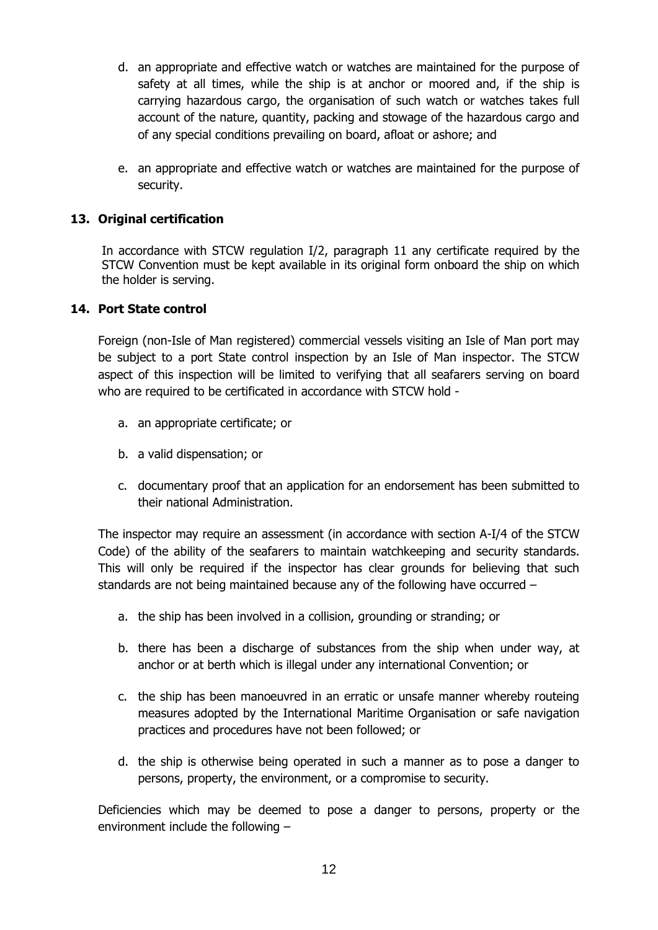- d. an appropriate and effective watch or watches are maintained for the purpose of safety at all times, while the ship is at anchor or moored and, if the ship is carrying hazardous cargo, the organisation of such watch or watches takes full account of the nature, quantity, packing and stowage of the hazardous cargo and of any special conditions prevailing on board, afloat or ashore; and
- e. an appropriate and effective watch or watches are maintained for the purpose of security.

## **13. Original certification**

In accordance with STCW regulation I/2, paragraph 11 any certificate required by the STCW Convention must be kept available in its original form onboard the ship on which the holder is serving.

#### **14. Port State control**

Foreign (non-Isle of Man registered) commercial vessels visiting an Isle of Man port may be subject to a port State control inspection by an Isle of Man inspector. The STCW aspect of this inspection will be limited to verifying that all seafarers serving on board who are required to be certificated in accordance with STCW hold -

- a. an appropriate certificate; or
- b. a valid dispensation; or
- c. documentary proof that an application for an endorsement has been submitted to their national Administration.

The inspector may require an assessment (in accordance with section A-I/4 of the STCW Code) of the ability of the seafarers to maintain watchkeeping and security standards. This will only be required if the inspector has clear grounds for believing that such standards are not being maintained because any of the following have occurred –

- a. the ship has been involved in a collision, grounding or stranding; or
- b. there has been a discharge of substances from the ship when under way, at anchor or at berth which is illegal under any international Convention; or
- c. the ship has been manoeuvred in an erratic or unsafe manner whereby routeing measures adopted by the International Maritime Organisation or safe navigation practices and procedures have not been followed; or
- d. the ship is otherwise being operated in such a manner as to pose a danger to persons, property, the environment, or a compromise to security.

Deficiencies which may be deemed to pose a danger to persons, property or the environment include the following –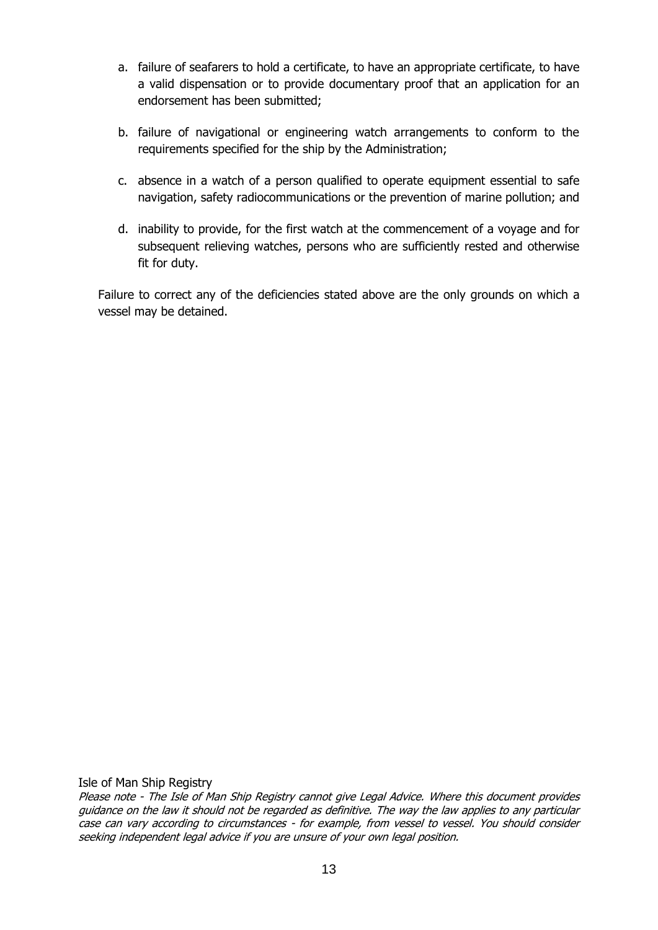- a. failure of seafarers to hold a certificate, to have an appropriate certificate, to have a valid dispensation or to provide documentary proof that an application for an endorsement has been submitted;
- b. failure of navigational or engineering watch arrangements to conform to the requirements specified for the ship by the Administration;
- c. absence in a watch of a person qualified to operate equipment essential to safe navigation, safety radiocommunications or the prevention of marine pollution; and
- d. inability to provide, for the first watch at the commencement of a voyage and for subsequent relieving watches, persons who are sufficiently rested and otherwise fit for duty.

Failure to correct any of the deficiencies stated above are the only grounds on which a vessel may be detained.

Isle of Man Ship Registry

Please note - The Isle of Man Ship Registry cannot give Legal Advice. Where this document provides guidance on the law it should not be regarded as definitive. The way the law applies to any particular case can vary according to circumstances - for example, from vessel to vessel. You should consider seeking independent legal advice if you are unsure of your own legal position.